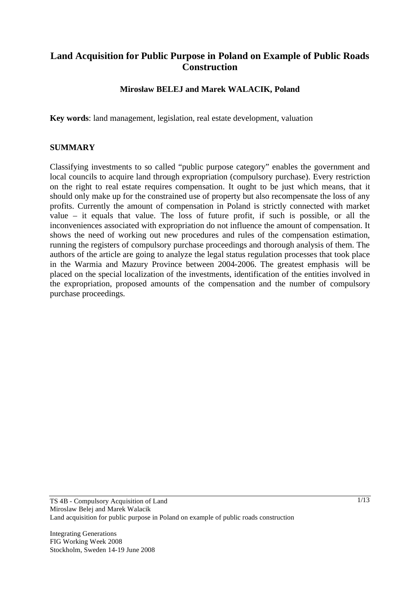# **Land Acquisition for Public Purpose in Poland on Example of Public Roads Construction**

## **Mirosaw BELEJ and Marek WALACIK, Poland**

**Key words**: land management, legislation, real estate development, valuation

#### **SUMMARY**

Classifying investments to so called "public purpose category" enables the government and local councils to acquire land through expropriation (compulsory purchase). Every restriction on the right to real estate requires compensation. It ought to be just which means, that it should only make up for the constrained use of property but also recompensate the loss of any profits. Currently the amount of compensation in Poland is strictly connected with market value – it equals that value. The loss of future profit, if such is possible, or all the inconveniences associated with expropriation do not influence the amount of compensation. It shows the need of working out new procedures and rules of the compensation estimation, running the registers of compulsory purchase proceedings and thorough analysis of them. The authors of the article are going to analyze the legal status regulation processes that took place in the Warmia and Mazury Province between 2004-2006. The greatest emphasis will be placed on the special localization of the investments, identification of the entities involved in the expropriation, proposed amounts of the compensation and the number of compulsory purchase proceedings.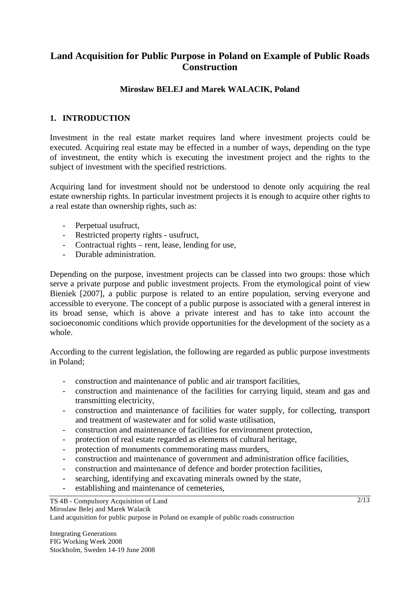# **Land Acquisition for Public Purpose in Poland on Example of Public Roads Construction**

## **Mirosaw BELEJ and Marek WALACIK, Poland**

## **1. INTRODUCTION**

Investment in the real estate market requires land where investment projects could be executed. Acquiring real estate may be effected in a number of ways, depending on the type of investment, the entity which is executing the investment project and the rights to the subject of investment with the specified restrictions.

Acquiring land for investment should not be understood to denote only acquiring the real estate ownership rights. In particular investment projects it is enough to acquire other rights to a real estate than ownership rights, such as:

- Perpetual usufruct,
- Restricted property rights usufruct,
- Contractual rights rent, lease, lending for use,
- Durable administration.

Depending on the purpose, investment projects can be classed into two groups: those which serve a private purpose and public investment projects. From the etymological point of view Bieniek [2007], a public purpose is related to an entire population, serving everyone and accessible to everyone. The concept of a public purpose is associated with a general interest in its broad sense, which is above a private interest and has to take into account the socioeconomic conditions which provide opportunities for the development of the society as a whole.

According to the current legislation, the following are regarded as public purpose investments in Poland;

- construction and maintenance of public and air transport facilities,
- construction and maintenance of the facilities for carrying liquid, steam and gas and transmitting electricity,
- construction and maintenance of facilities for water supply, for collecting, transport and treatment of wastewater and for solid waste utilisation,
- construction and maintenance of facilities for environment protection,
- protection of real estate regarded as elements of cultural heritage,
- protection of monuments commemorating mass murders,
- construction and maintenance of government and administration office facilities,
- construction and maintenance of defence and border protection facilities,
- searching, identifying and excavating minerals owned by the state,
- establishing and maintenance of cemeteries,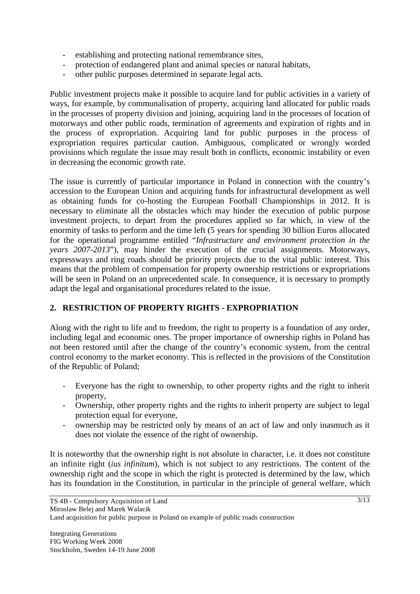- establishing and protecting national remembrance sites,
- protection of endangered plant and animal species or natural habitats,
- other public purposes determined in separate legal acts.

Public investment projects make it possible to acquire land for public activities in a variety of ways, for example, by communalisation of property, acquiring land allocated for public roads in the processes of property division and joining, acquiring land in the processes of location of motorways and other public roads, termination of agreements and expiration of rights and in the process of expropriation. Acquiring land for public purposes in the process of expropriation requires particular caution. Ambiguous, complicated or wrongly worded provisions which regulate the issue may result both in conflicts, economic instability or even in decreasing the economic growth rate.

The issue is currently of particular importance in Poland in connection with the country's accession to the European Union and acquiring funds for infrastructural development as well as obtaining funds for co-hosting the European Football Championships in 2012. It is necessary to eliminate all the obstacles which may hinder the execution of public purpose investment projects, to depart from the procedures applied so far which, in view of the enormity of tasks to perform and the time left (5 years for spending 30 billion Euros allocated for the operational programme entitled "*Infrastructure and environment protection in the years 2007-2013*"), may hinder the execution of the crucial assignments. Motorways, expressways and ring roads should be priority projects due to the vital public interest. This means that the problem of compensation for property ownership restrictions or expropriations will be seen in Poland on an unprecedented scale. In consequence, it is necessary to promptly adapt the legal and organisational procedures related to the issue.

### **2. RESTRICTION OF PROPERTY RIGHTS - EXPROPRIATION**

Along with the right to life and to freedom, the right to property is a foundation of any order, including legal and economic ones. The proper importance of ownership rights in Poland has not been restored until after the change of the country's economic system, from the central control economy to the market economy. This is reflected in the provisions of the Constitution of the Republic of Poland;

- Everyone has the right to ownership, to other property rights and the right to inherit property,
- Ownership, other property rights and the rights to inherit property are subject to legal protection equal for everyone,
- ownership may be restricted only by means of an act of law and only inasmuch as it does not violate the essence of the right of ownership.

It is noteworthy that the ownership right is not absolute in character, i.e. it does not constitute an infinite right (*ius infinitum*), which is not subject to any restrictions. The content of the ownership right and the scope in which the right is protected is determined by the law, which has its foundation in the Constitution, in particular in the principle of general welfare, which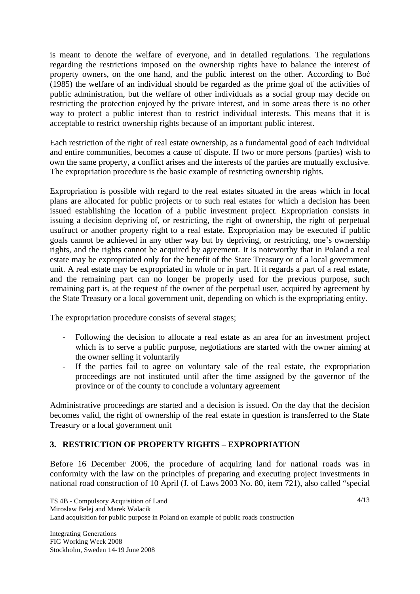is meant to denote the welfare of everyone, and in detailed regulations. The regulations regarding the restrictions imposed on the ownership rights have to balance the interest of property owners, on the one hand, and the public interest on the other. According to Bo (1985) the welfare of an individual should be regarded as the prime goal of the activities of public administration, but the welfare of other individuals as a social group may decide on restricting the protection enjoyed by the private interest, and in some areas there is no other way to protect a public interest than to restrict individual interests. This means that it is acceptable to restrict ownership rights because of an important public interest.

Each restriction of the right of real estate ownership, as a fundamental good of each individual and entire communities, becomes a cause of dispute. If two or more persons (parties) wish to own the same property, a conflict arises and the interests of the parties are mutually exclusive. The expropriation procedure is the basic example of restricting ownership rights.

Expropriation is possible with regard to the real estates situated in the areas which in local plans are allocated for public projects or to such real estates for which a decision has been issued establishing the location of a public investment project. Expropriation consists in issuing a decision depriving of, or restricting, the right of ownership, the right of perpetual usufruct or another property right to a real estate. Expropriation may be executed if public goals cannot be achieved in any other way but by depriving, or restricting, one's ownership rights, and the rights cannot be acquired by agreement. It is noteworthy that in Poland a real estate may be expropriated only for the benefit of the State Treasury or of a local government unit. A real estate may be expropriated in whole or in part. If it regards a part of a real estate, and the remaining part can no longer be properly used for the previous purpose, such remaining part is, at the request of the owner of the perpetual user, acquired by agreement by the State Treasury or a local government unit, depending on which is the expropriating entity.

The expropriation procedure consists of several stages;

- Following the decision to allocate a real estate as an area for an investment project which is to serve a public purpose, negotiations are started with the owner aiming at the owner selling it voluntarily
- If the parties fail to agree on voluntary sale of the real estate, the expropriation proceedings are not instituted until after the time assigned by the governor of the province or of the county to conclude a voluntary agreement

Administrative proceedings are started and a decision is issued. On the day that the decision becomes valid, the right of ownership of the real estate in question is transferred to the State Treasury or a local government unit

# **3. RESTRICTION OF PROPERTY RIGHTS – EXPROPRIATION**

Before 16 December 2006, the procedure of acquiring land for national roads was in conformity with the law on the principles of preparing and executing project investments in national road construction of 10 April (J. of Laws 2003 No. 80, item 721), also called "special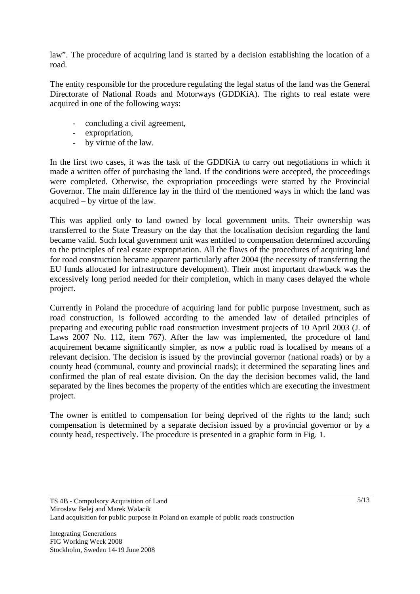law". The procedure of acquiring land is started by a decision establishing the location of a road.

The entity responsible for the procedure regulating the legal status of the land was the General Directorate of National Roads and Motorways (GDDKiA). The rights to real estate were acquired in one of the following ways:

- concluding a civil agreement,
- expropriation,
- by virtue of the law.

In the first two cases, it was the task of the GDDKiA to carry out negotiations in which it made a written offer of purchasing the land. If the conditions were accepted, the proceedings were completed. Otherwise, the expropriation proceedings were started by the Provincial Governor. The main difference lay in the third of the mentioned ways in which the land was acquired – by virtue of the law.

This was applied only to land owned by local government units. Their ownership was transferred to the State Treasury on the day that the localisation decision regarding the land became valid. Such local government unit was entitled to compensation determined according to the principles of real estate expropriation. All the flaws of the procedures of acquiring land for road construction became apparent particularly after 2004 (the necessity of transferring the EU funds allocated for infrastructure development). Their most important drawback was the excessively long period needed for their completion, which in many cases delayed the whole project.

Currently in Poland the procedure of acquiring land for public purpose investment, such as road construction, is followed according to the amended law of detailed principles of preparing and executing public road construction investment projects of 10 April 2003 (J. of Laws 2007 No. 112, item 767). After the law was implemented, the procedure of land acquirement became significantly simpler, as now a public road is localised by means of a relevant decision. The decision is issued by the provincial governor (national roads) or by a county head (communal, county and provincial roads); it determined the separating lines and confirmed the plan of real estate division. On the day the decision becomes valid, the land separated by the lines becomes the property of the entities which are executing the investment project.

The owner is entitled to compensation for being deprived of the rights to the land; such compensation is determined by a separate decision issued by a provincial governor or by a county head, respectively. The procedure is presented in a graphic form in Fig. 1.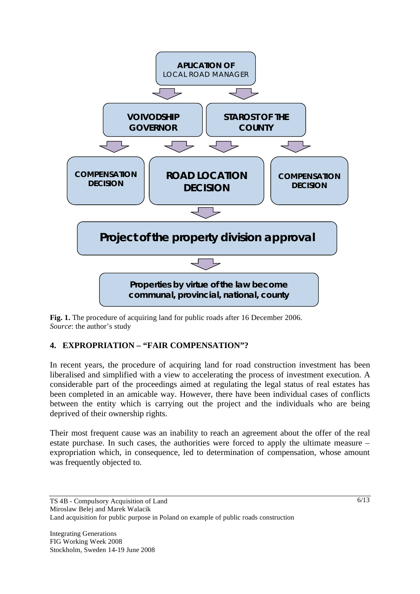

**Fig. 1.** The procedure of acquiring land for public roads after 16 December 2006. *Source*: the author's study

# **4. EXPROPRIATION – "FAIR COMPENSATION"?**

In recent years, the procedure of acquiring land for road construction investment has been liberalised and simplified with a view to accelerating the process of investment execution. A considerable part of the proceedings aimed at regulating the legal status of real estates has been completed in an amicable way. However, there have been individual cases of conflicts between the entity which is carrying out the project and the individuals who are being deprived of their ownership rights.

Their most frequent cause was an inability to reach an agreement about the offer of the real estate purchase. In such cases, the authorities were forced to apply the ultimate measure – expropriation which, in consequence, led to determination of compensation, whose amount was frequently objected to.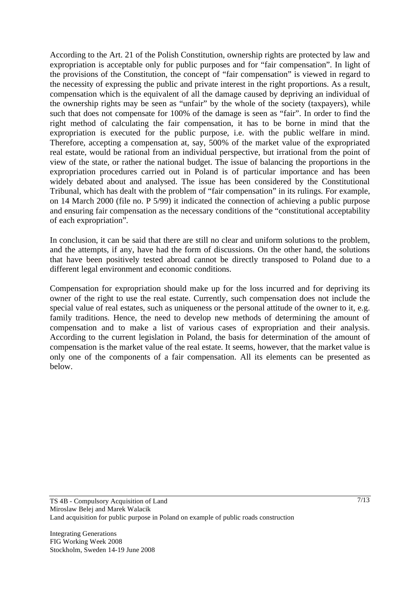According to the Art. 21 of the Polish Constitution, ownership rights are protected by law and expropriation is acceptable only for public purposes and for "fair compensation". In light of the provisions of the Constitution, the concept of "fair compensation" is viewed in regard to the necessity of expressing the public and private interest in the right proportions. As a result, compensation which is the equivalent of all the damage caused by depriving an individual of the ownership rights may be seen as "unfair" by the whole of the society (taxpayers), while such that does not compensate for 100% of the damage is seen as "fair". In order to find the right method of calculating the fair compensation, it has to be borne in mind that the expropriation is executed for the public purpose, i.e. with the public welfare in mind. Therefore, accepting a compensation at, say, 500% of the market value of the expropriated real estate, would be rational from an individual perspective, but irrational from the point of view of the state, or rather the national budget. The issue of balancing the proportions in the expropriation procedures carried out in Poland is of particular importance and has been widely debated about and analysed. The issue has been considered by the Constitutional Tribunal, which has dealt with the problem of "fair compensation" in its rulings. For example, on 14 March 2000 (file no. P 5/99) it indicated the connection of achieving a public purpose and ensuring fair compensation as the necessary conditions of the "constitutional acceptability of each expropriation".

In conclusion, it can be said that there are still no clear and uniform solutions to the problem, and the attempts, if any, have had the form of discussions. On the other hand, the solutions that have been positively tested abroad cannot be directly transposed to Poland due to a different legal environment and economic conditions.

Compensation for expropriation should make up for the loss incurred and for depriving its owner of the right to use the real estate. Currently, such compensation does not include the special value of real estates, such as uniqueness or the personal attitude of the owner to it, e.g. family traditions. Hence, the need to develop new methods of determining the amount of compensation and to make a list of various cases of expropriation and their analysis. According to the current legislation in Poland, the basis for determination of the amount of compensation is the market value of the real estate. It seems, however, that the market value is only one of the components of a fair compensation. All its elements can be presented as below.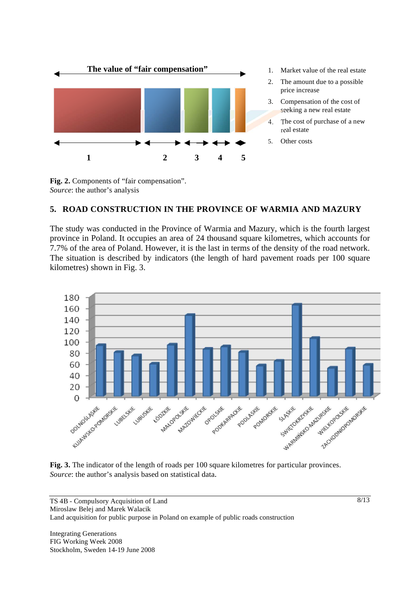



### **5. ROAD CONSTRUCTION IN THE PROVINCE OF WARMIA AND MAZURY**

The study was conducted in the Province of Warmia and Mazury, which is the fourth largest province in Poland. It occupies an area of 24 thousand square kilometres, which accounts for 7.7% of the area of Poland. However, it is the last in terms of the density of the road network. The situation is described by indicators (the length of hard pavement roads per 100 square kilometres) shown in Fig. 3.



**Fig. 3.** The indicator of the length of roads per 100 square kilometres for particular provinces. *Source*: the author's analysis based on statistical data.

TS 4B - Compulsory Acquisition of Land Miroslaw Belej and Marek Walacik Land acquisition for public purpose in Poland on example of public roads construction

Integrating Generations FIG Working Week 2008 Stockholm, Sweden 14-19 June 2008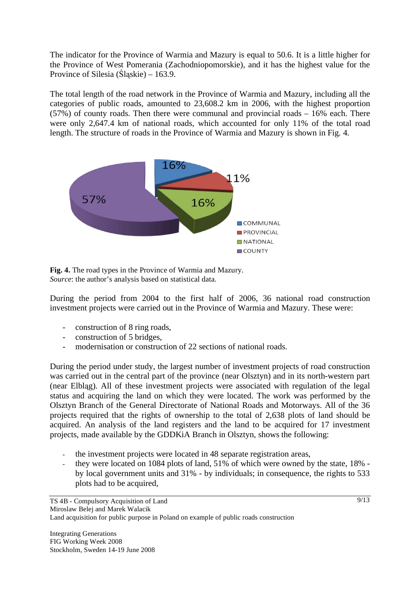The indicator for the Province of Warmia and Mazury is equal to 50.6. It is a little higher for the Province of West Pomerania (Zachodniopomorskie), and it has the highest value for the Province of Silesia (Slaskie) – 163.9.

The total length of the road network in the Province of Warmia and Mazury, including all the categories of public roads, amounted to 23,608.2 km in 2006, with the highest proportion (57%) of county roads. Then there were communal and provincial roads – 16% each. There were only 2,647.4 km of national roads, which accounted for only 11% of the total road length. The structure of roads in the Province of Warmia and Mazury is shown in Fig. 4.



**Fig. 4.** The road types in the Province of Warmia and Mazury. *Source*: the author's analysis based on statistical data.

During the period from 2004 to the first half of 2006, 36 national road construction investment projects were carried out in the Province of Warmia and Mazury. These were:

- construction of 8 ring roads,
- construction of 5 bridges,
- modernisation or construction of 22 sections of national roads.

During the period under study, the largest number of investment projects of road construction was carried out in the central part of the province (near Olsztyn) and in its north-western part (near Elblg). All of these investment projects were associated with regulation of the legal status and acquiring the land on which they were located. The work was performed by the Olsztyn Branch of the General Directorate of National Roads and Motorways. All of the 36 projects required that the rights of ownership to the total of 2,638 plots of land should be acquired. An analysis of the land registers and the land to be acquired for 17 investment projects, made available by the GDDKiA Branch in Olsztyn, shows the following:

- the investment projects were located in 48 separate registration areas,
- they were located on 1084 plots of land, 51% of which were owned by the state, 18% by local government units and 31% - by individuals; in consequence, the rights to 533 plots had to be acquired,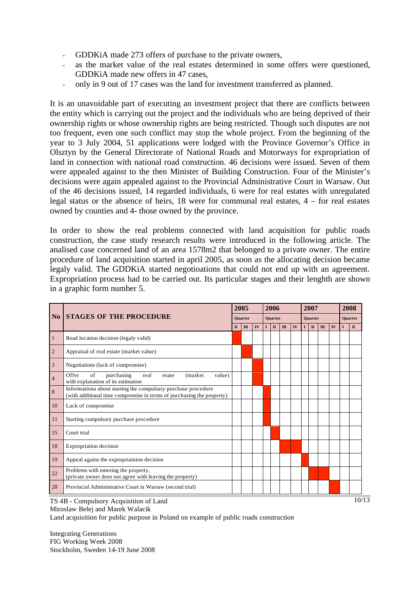- GDDKiA made 273 offers of purchase to the private owners,
- as the market value of the real estates determined in some offers were questioned, GDDKiA made new offers in 47 cases,
- only in 9 out of 17 cases was the land for investment transferred as planned.

It is an unavoidable part of executing an investment project that there are conflicts between the entity which is carrying out the project and the individuals who are being deprived of their ownership rights or whose ownership rights are being restricted. Though such disputes are not too frequent, even one such conflict may stop the whole project. From the beginning of the year to 3 July 2004, 51 applications were lodged with the Province Governor's Office in Olsztyn by the General Directorate of National Roads and Motorways for expropriation of land in connection with national road construction. 46 decisions were issued. Seven of them were appealed against to the then Minister of Building Construction. Four of the Minister's decisions were again appealed against to the Provincial Administrative Court in Warsaw. Out of the 46 decisions issued, 14 regarded individuals, 6 were for real estates with unregulated legal status or the absence of heirs, 18 were for communal real estates, 4 – for real estates owned by counties and 4- those owned by the province.

In order to show the real problems connected with land acquisition for public roads construction, the case study research results were introduced in the following article. The analised case concerned land of an area 1578m2 that belonged to a private owner. The entire procedure of land acquisition started in april 2005, as soon as the allocating decision became legaly valid. The GDDKiA started negotioations that could not end up with an agreement. Expropriation process had to be carried out. Its particular stages and their lenghth are shown in a graphic form number 5.

| N <sub>0</sub> | <b>STAGES OF THE PROCEDURE</b>                                                                                                         | 2005<br><b>Quarter</b> |              |    | 2006<br><b>Quarter</b> |              |              |    | 2007<br><b>Quarter</b> |                        |              |    | 2008           |              |
|----------------|----------------------------------------------------------------------------------------------------------------------------------------|------------------------|--------------|----|------------------------|--------------|--------------|----|------------------------|------------------------|--------------|----|----------------|--------------|
|                |                                                                                                                                        |                        |              |    |                        |              |              |    |                        |                        |              |    | <b>Quarter</b> |              |
|                |                                                                                                                                        | $\Pi$                  | $\mathbf{H}$ | IV | T                      | $\mathbf{I}$ | $\mathbf{I}$ | IV |                        | $\mathbf{I}\mathbf{I}$ | $\mathbf{m}$ | IV | T              | $\mathbf{I}$ |
|                | Road location decision (legaly valid)                                                                                                  |                        |              |    |                        |              |              |    |                        |                        |              |    |                |              |
| $\overline{c}$ | Appraisal of real estate (market value)                                                                                                |                        |              |    |                        |              |              |    |                        |                        |              |    |                |              |
| 3              | Negotiations (lack of compromise)                                                                                                      |                        |              |    |                        |              |              |    |                        |                        |              |    |                |              |
| $\overline{4}$ | Offer<br>of<br>purchasing<br>value)<br>real<br>(market)<br>esate<br>with explanation of its estimation                                 |                        |              |    |                        |              |              |    |                        |                        |              |    |                |              |
| 8              | Informationa about starting the compulsary purchase procedure<br>(with additional time compromise in terms of purchasing the property) |                        |              |    |                        |              |              |    |                        |                        |              |    |                |              |
| 10             | Lack of compromise                                                                                                                     |                        |              |    |                        |              |              |    |                        |                        |              |    |                |              |
| 11             | Starting compulsary purchase procedure                                                                                                 |                        |              |    |                        |              |              |    |                        |                        |              |    |                |              |
| 15             | Court trial                                                                                                                            |                        |              |    |                        |              |              |    |                        |                        |              |    |                |              |
| 18             | Expropriation decision                                                                                                                 |                        |              |    |                        |              |              |    |                        |                        |              |    |                |              |
| 19             | Appeal agains the expropriatnion decision                                                                                              |                        |              |    |                        |              |              |    |                        |                        |              |    |                |              |
| 22             | Problems with entering the property,<br>(private owner does not agree with leaving the property)                                       |                        |              |    |                        |              |              |    |                        |                        |              |    |                |              |
| 28             | Provincial Administrative Court in Warsaw (second trial)                                                                               |                        |              |    |                        |              |              |    |                        |                        |              |    |                |              |

TS 4B - Compulsory Acquisition of Land

Miroslaw Belej and Marek Walacik

Land acquisition for public purpose in Poland on example of public roads construction

Integrating Generations FIG Working Week 2008 Stockholm, Sweden 14-19 June 2008 10/13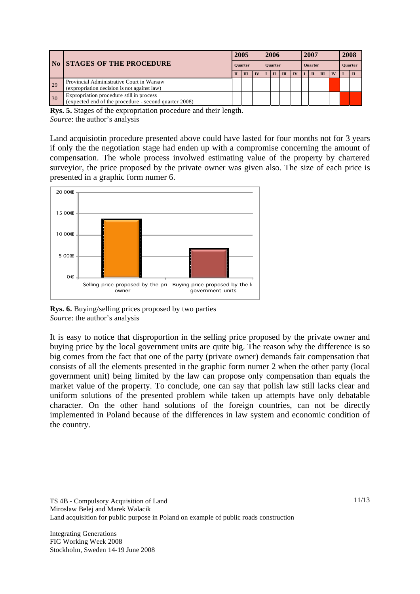|    | <b>No STAGES OF THE PROCEDURE</b>                     | 2005           |       |    | 2006           |  |       |           | 2007           |   |       |           | 2008           |  |
|----|-------------------------------------------------------|----------------|-------|----|----------------|--|-------|-----------|----------------|---|-------|-----------|----------------|--|
|    |                                                       | <b>Ouarter</b> |       |    | <b>Quarter</b> |  |       |           | <b>Quarter</b> |   |       |           | <b>Quarter</b> |  |
|    |                                                       |                | $\Pi$ | IV |                |  | $\Pi$ | <b>IV</b> |                | π | $\Pi$ | <b>IV</b> |                |  |
| 29 | Provincial Administrative Court in Warsaw             |                |       |    |                |  |       |           |                |   |       |           |                |  |
|    | (expropriation decision is not against law)           |                |       |    |                |  |       |           |                |   |       |           |                |  |
| 30 | Expropriation procedure still in process              |                |       |    |                |  |       |           |                |   |       |           |                |  |
|    | (expected end of the procedure - second quarter 2008) |                |       |    |                |  |       |           |                |   |       |           |                |  |

**Rys. 5.** Stages of the expropriation procedure and their length. *Source*: the author's analysis

Land acquisiotin procedure presented above could have lasted for four months not for 3 years if only the the negotiation stage had enden up with a compromise concerning the amount of compensation. The whole process involwed estimating value of the property by chartered surveyior, the price proposed by the private owner was given also. The size of each price is presented in a graphic form numer 6.





It is easy to notice that disproportion in the selling price proposed by the private owner and buying price by the local government units are quite big. The reason why the difference is so big comes from the fact that one of the party (private owner) demands fair compensation that consists of all the elements presented in the graphic form numer 2 when the other party (local government unit) being limited by the law can propose only compensation than equals the market value of the property. To conclude, one can say that polish law still lacks clear and uniform solutions of the presented problem while taken up attempts have only debatable character. On the other hand solutions of the foreign countries, can not be directly implemented in Poland because of the differences in law system and economic condition of the country.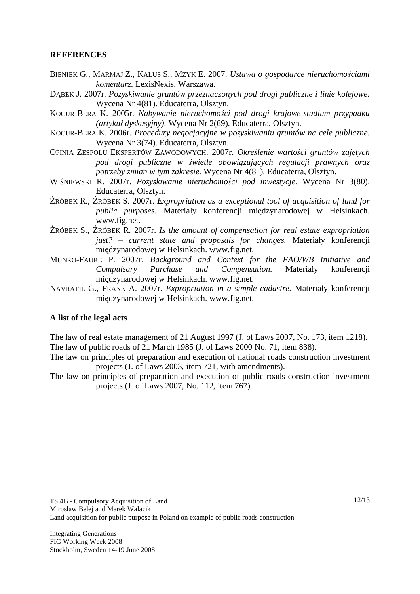### **REFERENCES**

- BIENIEK G., MARMAJ Z., KALUS S., MZYK E. 2007. *Ustawa o gospodarce nieruchomościami komentarz*. LexisNexis, Warszawa.
- DABEK J. 2007r. *Pozyskiwanie gruntów przeznaczonych pod drogi publiczne i linie kolejowe*. Wycena Nr 4(81). Educaterra, Olsztyn.
- KOCUR-BERA K. 2005r. *Nabywanie nieruchomości pod drogi krajowe-studium przypadku (artyku dyskusyjny).* Wycena Nr 2(69). Educaterra, Olsztyn.
- KOCUR-BERA K. 2006r. *Procedury negocjacyjne w pozyskiwaniu gruntów na cele publiczne.* Wycena Nr 3(74). Educaterra, Olsztyn.
- OPINIA ZESPOŁU EKSPERTÓW ZAWODOWYCH. 2007r. Określenie wartości gruntów zajętych *pod drogi publiczne w wietle obowizujcych regulacji prawnych oraz potrzeby zmian w tym zakresie*. Wycena Nr 4(81). Educaterra, Olsztyn.
- WIŚNIEWSKI R. 2007r. *Pozyskiwanie nieruchomości pod inwestycje*. Wycena Nr 3(80). Educaterra, Olsztyn.
- RÓBEK R., RÓBEK S. 2007r. *Expropriation as a exceptional tool of acquisition of land for public purposes*. Materiay konferencji mi dzynarodowej w Helsinkach. www.fig.net.
- ŹRÓBEK S., ŹRÓBEK R. 2007r. *Is the amount of compensation for real estate expropriation* just? – current state and proposals for changes. Materialy konferencji mi dzynarodowej w Helsinkach. www.fig.net.
- MUNRO-FAURE P. 2007r. *Background and Context for the FAO/WB Initiative and Compulsary Purchase and Compensation.* Materialy konferencji mi dzynarodowej w Helsinkach. www.fig.net.
- NAVRATIL G., FRANK A. 2007r. *Expropriation in a simple cadastre.* Materiay konferencji mi dzynarodowej w Helsinkach. www.fig.net.

#### **A list of the legal acts**

The law of real estate management of 21 August 1997 (J. of Laws 2007, No. 173, item 1218). The law of public roads of 21 March 1985 (J. of Laws 2000 No. 71, item 838).

- The law on principles of preparation and execution of national roads construction investment projects (J. of Laws 2003, item 721, with amendments).
- The law on principles of preparation and execution of public roads construction investment projects (J. of Laws 2007, No. 112, item 767).